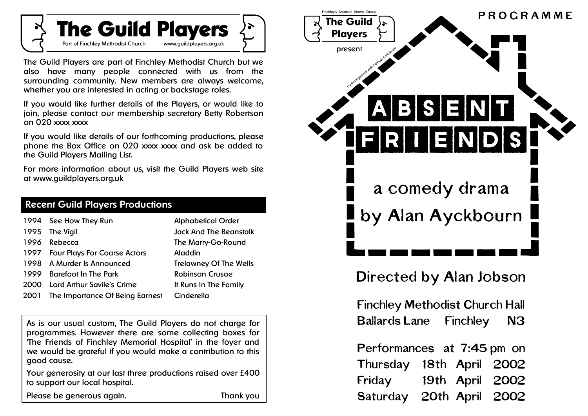

The Guild Players are part of Finchley Methodist Church but we also have many people connected with us from the surrounding community. New members are always welcome, whether you are interested in acting or backstage roles.

If you would like further details of the Players, or would like to join, please contact our membership secretary Betty Robertson on 020 xxxx xxxx

If you would like details of our forthcoming productions, please phone the Box Office on 020 xxxx xxxx and ask be added to the Guild Players Mailing List.

For more information about us, visit the Guild Players web site at www.guildplayers.org.uk

| <b>Recent Guild Players Productions</b> |                       |                           |  |  |
|-----------------------------------------|-----------------------|---------------------------|--|--|
|                                         | 1994 See How They Run | <b>Alphabetical Order</b> |  |  |

|             | <b>1994 DEC HOW THEY RUN</b>        | Alphabelical Oraer            |
|-------------|-------------------------------------|-------------------------------|
|             | 1995 The Vigil                      | <b>Jack And The Beanstalk</b> |
| 1996        | Rebecca                             | The Marry-Go-Round            |
| 1997        | <b>Four Plays For Coarse Actors</b> | Aladdin                       |
|             | 1998 A Murder Is Announced          | <b>Trelawney Of The Wells</b> |
| 1999        | <b>Barefoot In The Park</b>         | <b>Robinson Crusoe</b>        |
| <b>2000</b> | Lord Arthur Savile's Crime          | It Runs In The Family         |
| 2001        | The Importance Of Being Earnest     | Cinderella                    |

As is our usual custom, The Guild Players do not charge for programmes. However there are some collecting boxes for 'The Friends of Finchley Memorial Hospital' in the foyer and we would be grateful if you would make a contribution to this good cause.

Your generosity at our last three productions raised over £400 to support our local hospital.

Please be generous again. Thank you



# Directed by Alan Jobson

Finchley Methodist Church Hall Ballards Lane Finchley N3

Performances at 7:45 pm on Thursday 18th April 2002 Friday 19th April 2002 Saturday 20th April 2002